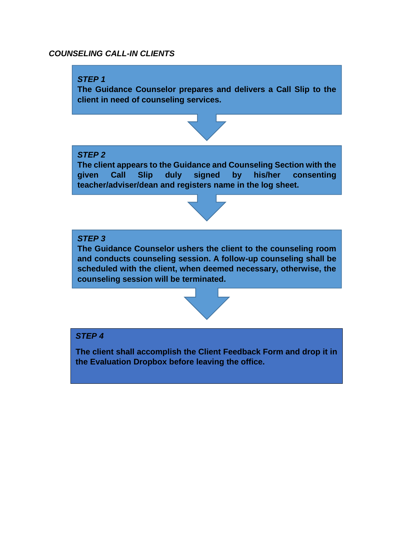## *COUNSELING CALL-IN CLIENTS*



**the Evaluation Dropbox before leaving the office.**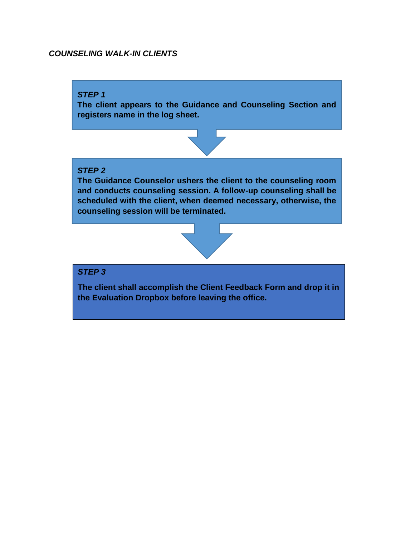# *COUNSELING WALK-IN CLIENTS*

### *STEP 1*

**The client appears to the Guidance and Counseling Section and registers name in the log sheet.**



### *STEP 2*

**The Guidance Counselor ushers the client to the counseling room and conducts counseling session. A follow-up counseling shall be scheduled with the client, when deemed necessary, otherwise, the counseling session will be terminated.**



# *STEP 3*

**The client shall accomplish the Client Feedback Form and drop it in the Evaluation Dropbox before leaving the office.**